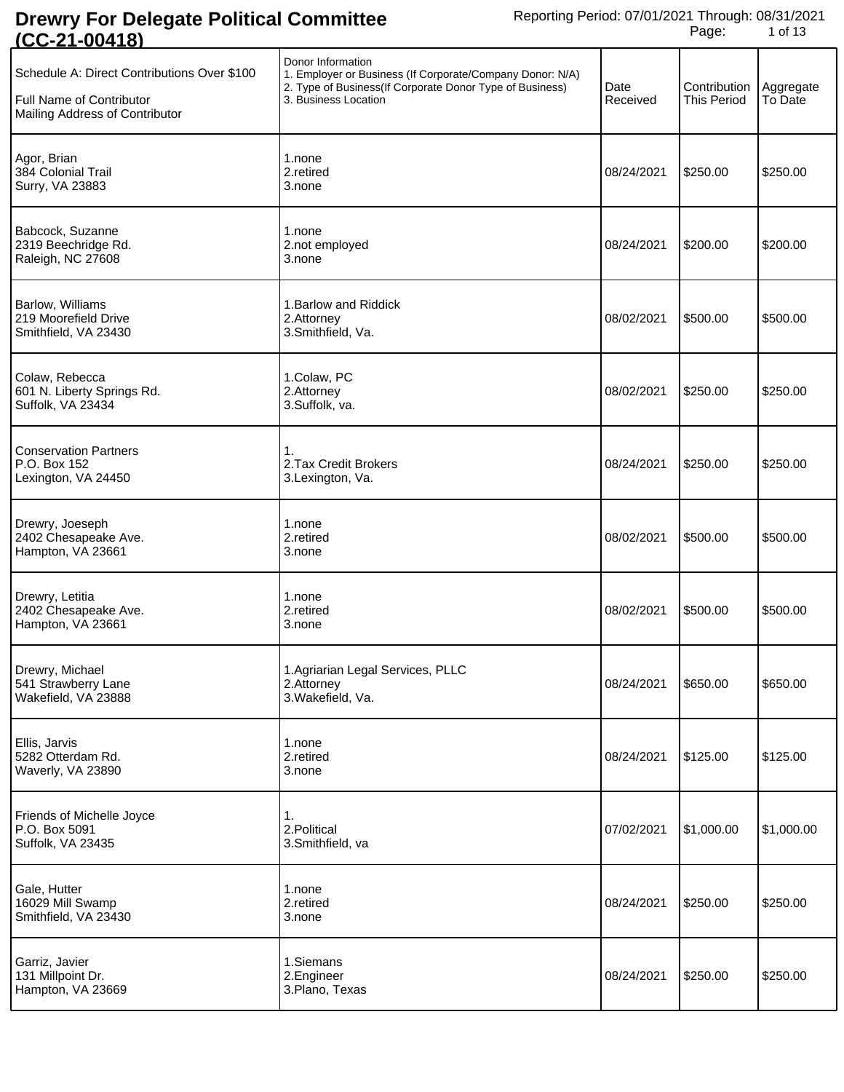| <u> UU-4 1-00 1 10</u>                                                                                    |                                                                                                                                                                    |                  |                             |                      |
|-----------------------------------------------------------------------------------------------------------|--------------------------------------------------------------------------------------------------------------------------------------------------------------------|------------------|-----------------------------|----------------------|
| Schedule A: Direct Contributions Over \$100<br>Full Name of Contributor<br>Mailing Address of Contributor | Donor Information<br>1. Employer or Business (If Corporate/Company Donor: N/A)<br>2. Type of Business(If Corporate Donor Type of Business)<br>3. Business Location | Date<br>Received | Contribution<br>This Period | Aggregate<br>To Date |
| Agor, Brian<br>384 Colonial Trail<br>Surry, VA 23883                                                      | 1.none<br>2.retired<br>3.none                                                                                                                                      | 08/24/2021       | \$250.00                    | \$250.00             |
| Babcock, Suzanne<br>2319 Beechridge Rd.<br>Raleigh, NC 27608                                              | 1.none<br>2.not employed<br>3.none                                                                                                                                 | 08/24/2021       | \$200.00                    | \$200.00             |
| Barlow, Williams<br>219 Moorefield Drive<br>Smithfield, VA 23430                                          | 1. Barlow and Riddick<br>2.Attorney<br>3.Smithfield, Va.                                                                                                           | 08/02/2021       | \$500.00                    | \$500.00             |
| Colaw, Rebecca<br>601 N. Liberty Springs Rd.<br>Suffolk, VA 23434                                         | 1.Colaw, PC<br>2.Attorney<br>3.Suffolk, va.                                                                                                                        | 08/02/2021       | \$250.00                    | \$250.00             |
| <b>Conservation Partners</b><br>P.O. Box 152<br>Lexington, VA 24450                                       | 1.<br>2. Tax Credit Brokers<br>3.Lexington, Va.                                                                                                                    | 08/24/2021       | \$250.00                    | \$250.00             |
| Drewry, Joeseph<br>2402 Chesapeake Ave.<br>Hampton, VA 23661                                              | 1.none<br>2.retired<br>3.none                                                                                                                                      | 08/02/2021       | \$500.00                    | \$500.00             |
| Drewry, Letitia<br>2402 Chesapeake Ave.<br>Hampton, VA 23661                                              | 1.none<br>2.retired<br>3.none                                                                                                                                      | 08/02/2021       | \$500.00                    | \$500.00             |
| Drewry, Michael<br>541 Strawberry Lane<br>Wakefield, VA 23888                                             | 1. Agriarian Legal Services, PLLC<br>2.Attorney<br>3. Wakefield, Va.                                                                                               | 08/24/2021       | \$650.00                    | \$650.00             |
| Ellis, Jarvis<br>5282 Otterdam Rd.<br>Waverly, VA 23890                                                   | 1.none<br>2.retired<br>3.none                                                                                                                                      | 08/24/2021       | \$125.00                    | \$125.00             |
| Friends of Michelle Joyce<br>P.O. Box 5091<br>Suffolk, VA 23435                                           | 1.<br>2. Political<br>3.Smithfield, va                                                                                                                             | 07/02/2021       | \$1,000.00                  | \$1,000.00           |
| Gale, Hutter<br>16029 Mill Swamp<br>Smithfield, VA 23430                                                  | 1.none<br>2.retired<br>3.none                                                                                                                                      | 08/24/2021       | \$250.00                    | \$250.00             |
| Garriz, Javier<br>131 Millpoint Dr.<br>Hampton, VA 23669                                                  | 1.Siemans<br>2.Engineer<br>3. Plano, Texas                                                                                                                         | 08/24/2021       | \$250.00                    | \$250.00             |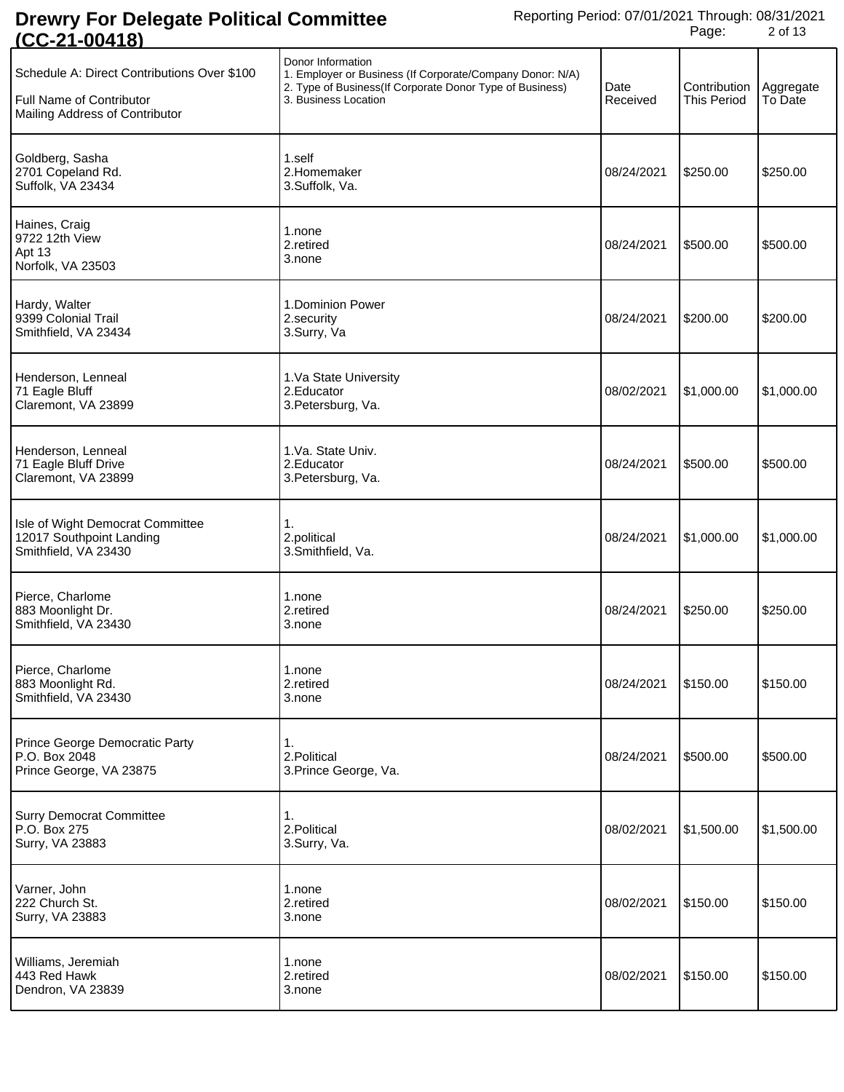| <u>1 UU-4 1-004 101</u>                                                                                   |                                                                                                                                                                     |                  |                                    |                      |
|-----------------------------------------------------------------------------------------------------------|---------------------------------------------------------------------------------------------------------------------------------------------------------------------|------------------|------------------------------------|----------------------|
| Schedule A: Direct Contributions Over \$100<br>Full Name of Contributor<br>Mailing Address of Contributor | Donor Information<br>1. Employer or Business (If Corporate/Company Donor: N/A)<br>2. Type of Business (If Corporate Donor Type of Business)<br>3. Business Location | Date<br>Received | Contribution<br><b>This Period</b> | Aggregate<br>To Date |
| Goldberg, Sasha<br>2701 Copeland Rd.<br>Suffolk, VA 23434                                                 | 1.self<br>2.Homemaker<br>3.Suffolk, Va.                                                                                                                             | 08/24/2021       | \$250.00                           | \$250.00             |
| Haines, Craig<br>9722 12th View<br>Apt 13<br>Norfolk, VA 23503                                            | 1.none<br>2.retired<br>3.none                                                                                                                                       | 08/24/2021       | \$500.00                           | \$500.00             |
| Hardy, Walter<br>9399 Colonial Trail<br>Smithfield, VA 23434                                              | 1. Dominion Power<br>2.security<br>3.Surry, Va                                                                                                                      | 08/24/2021       | \$200.00                           | \$200.00             |
| Henderson, Lenneal<br>71 Eagle Bluff<br>Claremont, VA 23899                                               | 1.Va State University<br>2. Educator<br>3. Petersburg, Va.                                                                                                          | 08/02/2021       | \$1,000.00                         | \$1,000.00           |
| Henderson, Lenneal<br>71 Eagle Bluff Drive<br>Claremont, VA 23899                                         | 1.Va. State Univ.<br>2. Educator<br>3. Petersburg, Va.                                                                                                              | 08/24/2021       | \$500.00                           | \$500.00             |
| Isle of Wight Democrat Committee<br>12017 Southpoint Landing<br>Smithfield, VA 23430                      | 1.<br>2.political<br>3.Smithfield, Va.                                                                                                                              | 08/24/2021       | \$1,000.00                         | \$1,000.00           |
| Pierce, Charlome<br>883 Moonlight Dr.<br>Smithfield, VA 23430                                             | 1.none<br>2.retired<br>3.none                                                                                                                                       | 08/24/2021       | \$250.00                           | \$250.00             |
| Pierce, Charlome<br>883 Moonlight Rd.<br>Smithfield, VA 23430                                             | 1.none<br>2.retired<br>3.none                                                                                                                                       | 08/24/2021       | \$150.00                           | \$150.00             |
| Prince George Democratic Party<br>P.O. Box 2048<br>Prince George, VA 23875                                | 1.<br>2. Political<br>3. Prince George, Va.                                                                                                                         | 08/24/2021       | \$500.00                           | \$500.00             |
| <b>Surry Democrat Committee</b><br>P.O. Box 275<br>Surry, VA 23883                                        | 1.<br>2. Political<br>3.Surry, Va.                                                                                                                                  | 08/02/2021       | \$1,500.00                         | \$1,500.00           |
| Varner, John<br>222 Church St.<br>Surry, VA 23883                                                         | 1.none<br>2.retired<br>3.none                                                                                                                                       | 08/02/2021       | \$150.00                           | \$150.00             |
| Williams, Jeremiah<br>443 Red Hawk<br>Dendron, VA 23839                                                   | 1.none<br>2.retired<br>3.none                                                                                                                                       | 08/02/2021       | \$150.00                           | \$150.00             |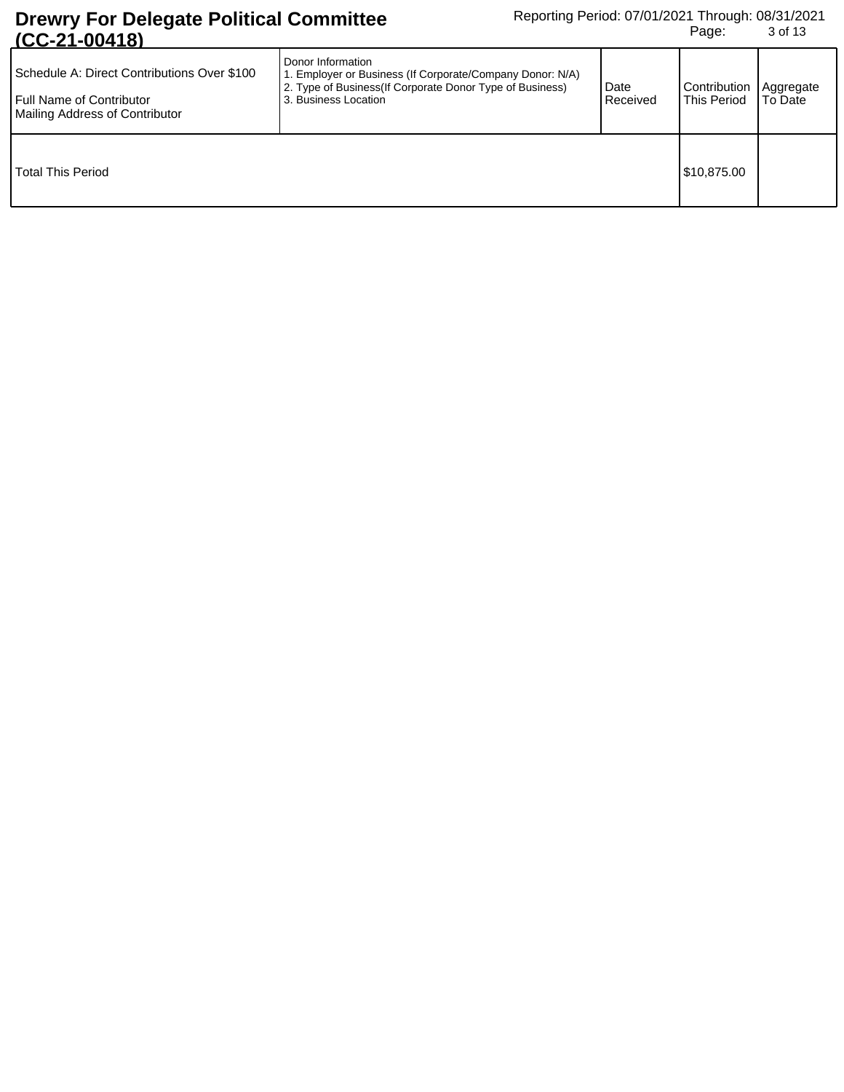| Schedule A: Direct Contributions Over \$100<br><b>Full Name of Contributor</b><br>Mailing Address of Contributor | Donor Information<br>1. Employer or Business (If Corporate/Company Donor: N/A)<br>2. Type of Business (If Corporate Donor Type of Business)<br>3. Business Location | Date<br>Received | Contribution<br>This Period | Aggregate<br>To Date |
|------------------------------------------------------------------------------------------------------------------|---------------------------------------------------------------------------------------------------------------------------------------------------------------------|------------------|-----------------------------|----------------------|
| l Total This Period                                                                                              |                                                                                                                                                                     |                  | \$10,875.00                 |                      |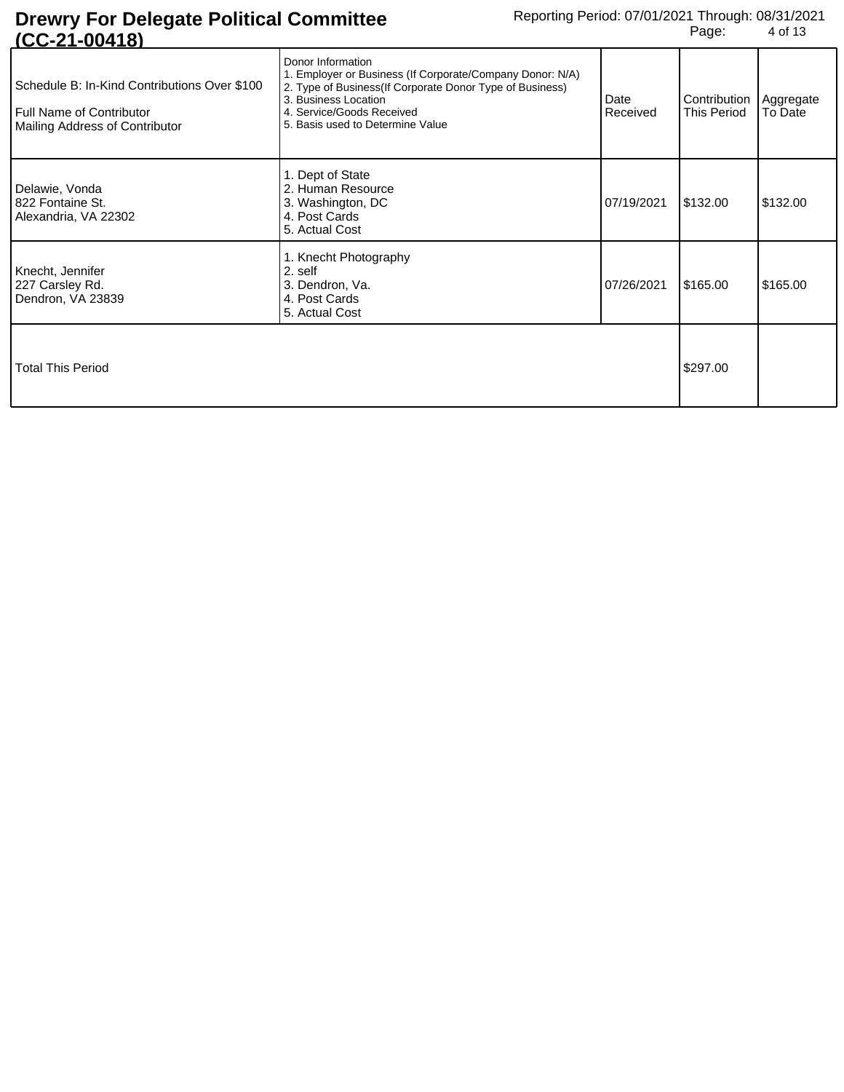| 1014-004                                                                                                   |                                                                                                                                                                                                                                      |                  |                                                |          |
|------------------------------------------------------------------------------------------------------------|--------------------------------------------------------------------------------------------------------------------------------------------------------------------------------------------------------------------------------------|------------------|------------------------------------------------|----------|
| Schedule B: In-Kind Contributions Over \$100<br>Full Name of Contributor<br>Mailing Address of Contributor | Donor Information<br>1. Employer or Business (If Corporate/Company Donor: N/A)<br>2. Type of Business (If Corporate Donor Type of Business)<br>3. Business Location<br>4. Service/Goods Received<br>5. Basis used to Determine Value | Date<br>Received | Contribution   Aggregate<br><b>This Period</b> | To Date  |
| Delawie, Vonda<br>822 Fontaine St.<br>Alexandria, VA 22302                                                 | 1. Dept of State<br>2. Human Resource<br>3. Washington, DC<br>4. Post Cards<br>5. Actual Cost                                                                                                                                        | 07/19/2021       | \$132.00                                       | \$132.00 |
| Knecht, Jennifer<br>227 Carsley Rd.<br>Dendron, VA 23839                                                   | 1. Knecht Photography<br>2. self<br>3. Dendron, Va.<br>4. Post Cards<br>5. Actual Cost                                                                                                                                               | 07/26/2021       | \$165.00                                       | \$165.00 |
| <b>Total This Period</b>                                                                                   |                                                                                                                                                                                                                                      |                  | \$297.00                                       |          |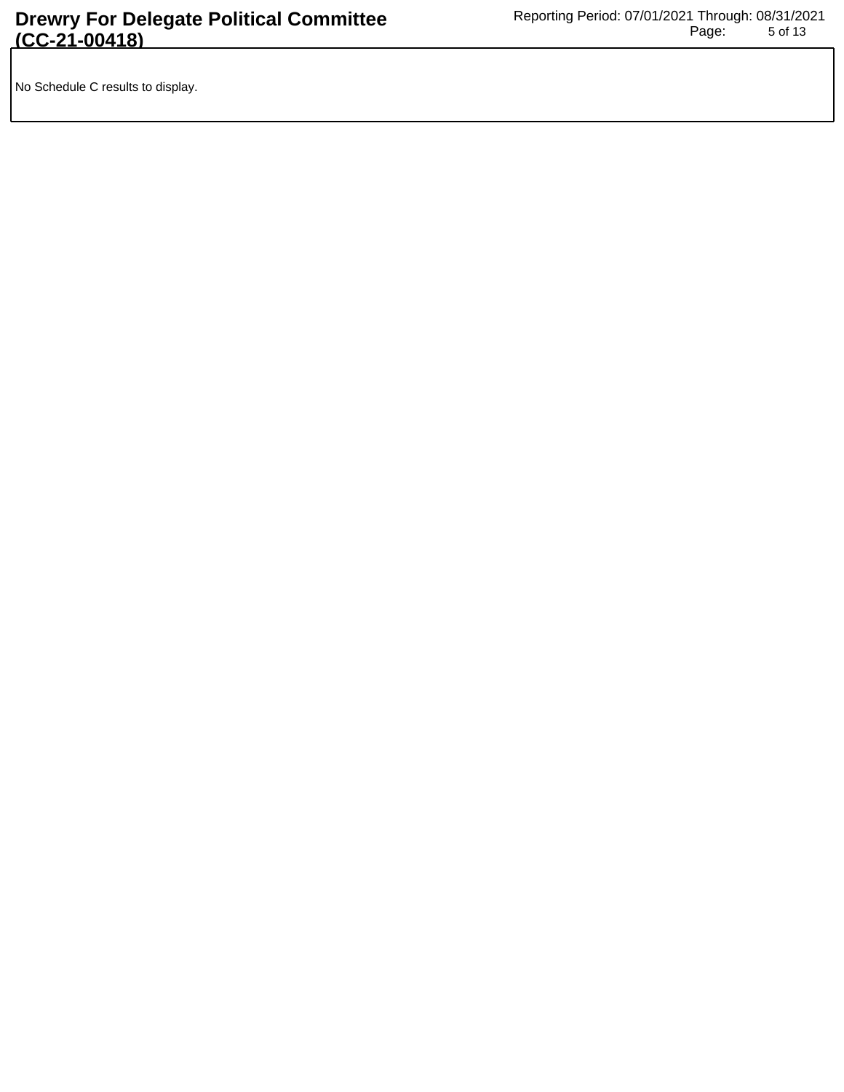No Schedule C results to display.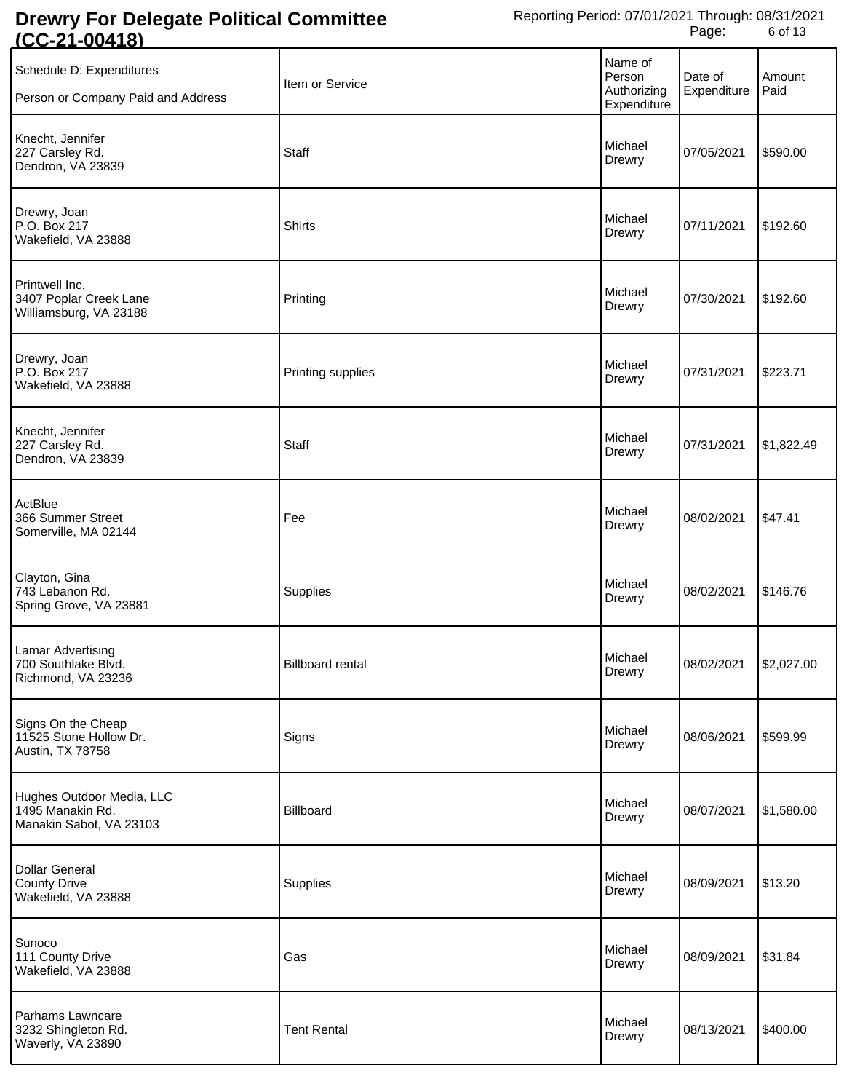| <u>vv</u>                                                                |                         |                                                 |                        |                |
|--------------------------------------------------------------------------|-------------------------|-------------------------------------------------|------------------------|----------------|
| Schedule D: Expenditures<br>Person or Company Paid and Address           | Item or Service         | Name of<br>Person<br>Authorizing<br>Expenditure | Date of<br>Expenditure | Amount<br>Paid |
| Knecht, Jennifer<br>227 Carsley Rd.<br>Dendron, VA 23839                 | <b>Staff</b>            | Michael<br>Drewry                               | 07/05/2021             | \$590.00       |
| Drewry, Joan<br>P.O. Box 217<br>Wakefield, VA 23888                      | Shirts                  | Michael<br>Drewry                               | 07/11/2021             | \$192.60       |
| Printwell Inc.<br>3407 Poplar Creek Lane<br>Williamsburg, VA 23188       | Printing                | Michael<br>Drewry                               | 07/30/2021             | \$192.60       |
| Drewry, Joan<br>P.O. Box 217<br>Wakefield, VA 23888                      | Printing supplies       | Michael<br>Drewry                               | 07/31/2021             | \$223.71       |
| Knecht, Jennifer<br>227 Carsley Rd.<br>Dendron, VA 23839                 | Staff                   | Michael<br>Drewry                               | 07/31/2021             | \$1,822.49     |
| ActBlue<br>366 Summer Street<br>Somerville, MA 02144                     | Fee                     | Michael<br>Drewry                               | 08/02/2021             | \$47.41        |
| Clayton, Gina<br>743 Lebanon Rd.<br>Spring Grove, VA 23881               | Supplies                | Michael<br>Drewry                               | 08/02/2021             | \$146.76       |
| <b>Lamar Advertising</b><br>700 Southlake Blvd.<br>Richmond, VA 23236    | <b>Billboard rental</b> | Michael<br>Drewry                               | 08/02/2021 \$2,027.00  |                |
| Signs On the Cheap<br>11525 Stone Hollow Dr.<br>Austin, TX 78758         | Signs                   | Michael<br>Drewry                               | 08/06/2021             | \$599.99       |
| Hughes Outdoor Media, LLC<br>1495 Manakin Rd.<br>Manakin Sabot, VA 23103 | Billboard               | Michael<br>Drewry                               | 08/07/2021             | \$1,580.00     |
| <b>Dollar General</b><br><b>County Drive</b><br>Wakefield, VA 23888      | Supplies                | Michael<br>Drewry                               | 08/09/2021             | \$13.20        |
| Sunoco<br>111 County Drive<br>Wakefield, VA 23888                        | Gas                     | Michael<br>Drewry                               | 08/09/2021             | \$31.84        |
| Parhams Lawncare<br>3232 Shingleton Rd.<br>Waverly, VA 23890             | <b>Tent Rental</b>      | Michael<br>Drewry                               | 08/13/2021             | \$400.00       |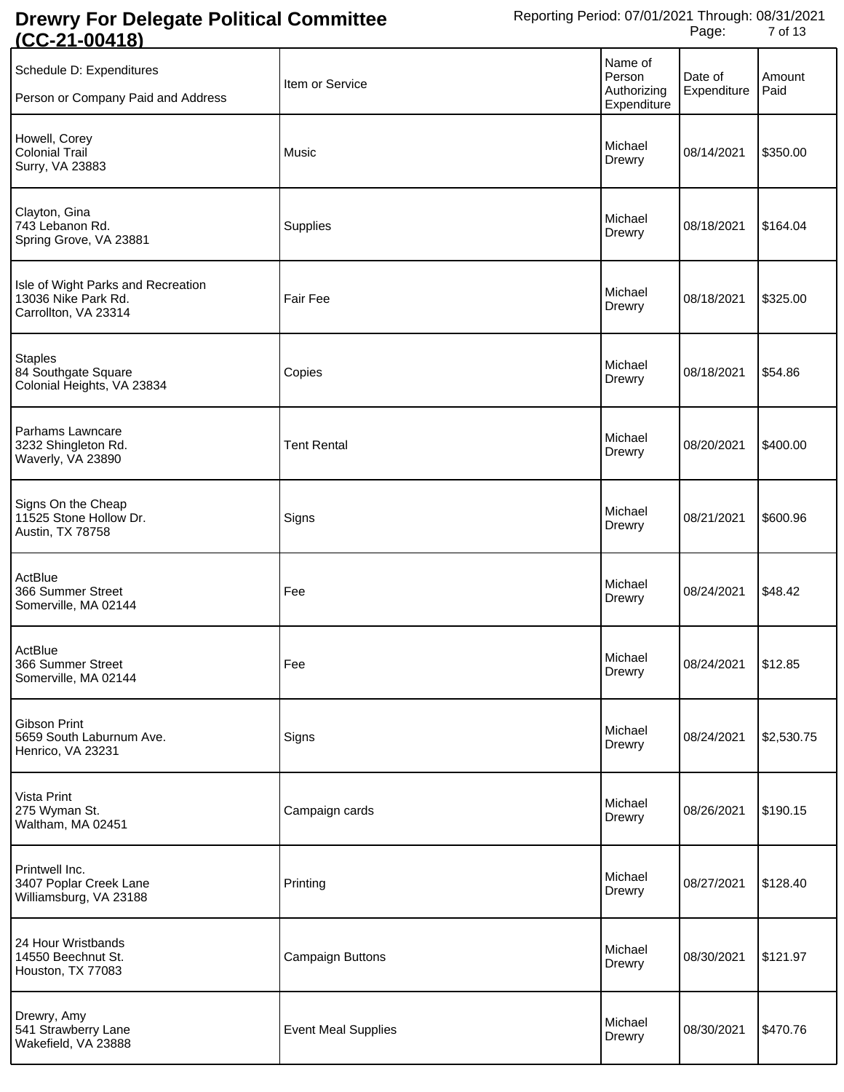| <u> UU LI UUTIU</u>                                                               |                            |                                                 |                        |                |
|-----------------------------------------------------------------------------------|----------------------------|-------------------------------------------------|------------------------|----------------|
| Schedule D: Expenditures<br>Person or Company Paid and Address                    | Item or Service            | Name of<br>Person<br>Authorizing<br>Expenditure | Date of<br>Expenditure | Amount<br>Paid |
| Howell, Corey<br>Colonial Trail<br>Surry, VA 23883                                | Music                      | Michael<br>Drewry                               | 08/14/2021             | \$350.00       |
| Clayton, Gina<br>743 Lebanon Rd.<br>Spring Grove, VA 23881                        | Supplies                   | Michael<br>Drewry                               | 08/18/2021             | \$164.04       |
| Isle of Wight Parks and Recreation<br>13036 Nike Park Rd.<br>Carrollton, VA 23314 | <b>Fair Fee</b>            | Michael<br>Drewry                               | 08/18/2021             | \$325.00       |
| <b>Staples</b><br>84 Southgate Square<br>Colonial Heights, VA 23834               | Copies                     | Michael<br>Drewry                               | 08/18/2021             | \$54.86        |
| Parhams Lawncare<br>3232 Shingleton Rd.<br>Waverly, VA 23890                      | <b>Tent Rental</b>         | Michael<br>Drewry                               | 08/20/2021             | \$400.00       |
| Signs On the Cheap<br>11525 Stone Hollow Dr.<br>Austin, TX 78758                  | Signs                      | Michael<br>Drewry                               | 08/21/2021             | \$600.96       |
| ActBlue<br>366 Summer Street<br>Somerville, MA 02144                              | Fee                        | Michael<br>Drewry                               | 08/24/2021             | \$48.42        |
| ActBlue<br>366 Summer Street<br>Somerville, MA 02144                              | Fee                        | Michael<br>Drewry                               | 08/24/2021 \$12.85     |                |
| Gibson Print<br>5659 South Laburnum Ave.<br>Henrico, VA 23231                     | Signs                      | Michael<br>Drewry                               | 08/24/2021             | \$2,530.75     |
| Vista Print<br>275 Wyman St.<br>Waltham, MA 02451                                 | Campaign cards             | Michael<br>Drewry                               | 08/26/2021             | \$190.15       |
| Printwell Inc.<br>3407 Poplar Creek Lane<br>Williamsburg, VA 23188                | Printing                   | Michael<br>Drewry                               | 08/27/2021             | \$128.40       |
| 24 Hour Wristbands<br>14550 Beechnut St.<br>Houston, TX 77083                     | Campaign Buttons           | Michael<br>Drewry                               | 08/30/2021             | \$121.97       |
| Drewry, Amy<br>541 Strawberry Lane<br>Wakefield, VA 23888                         | <b>Event Meal Supplies</b> | Michael<br>Drewry                               | 08/30/2021             | \$470.76       |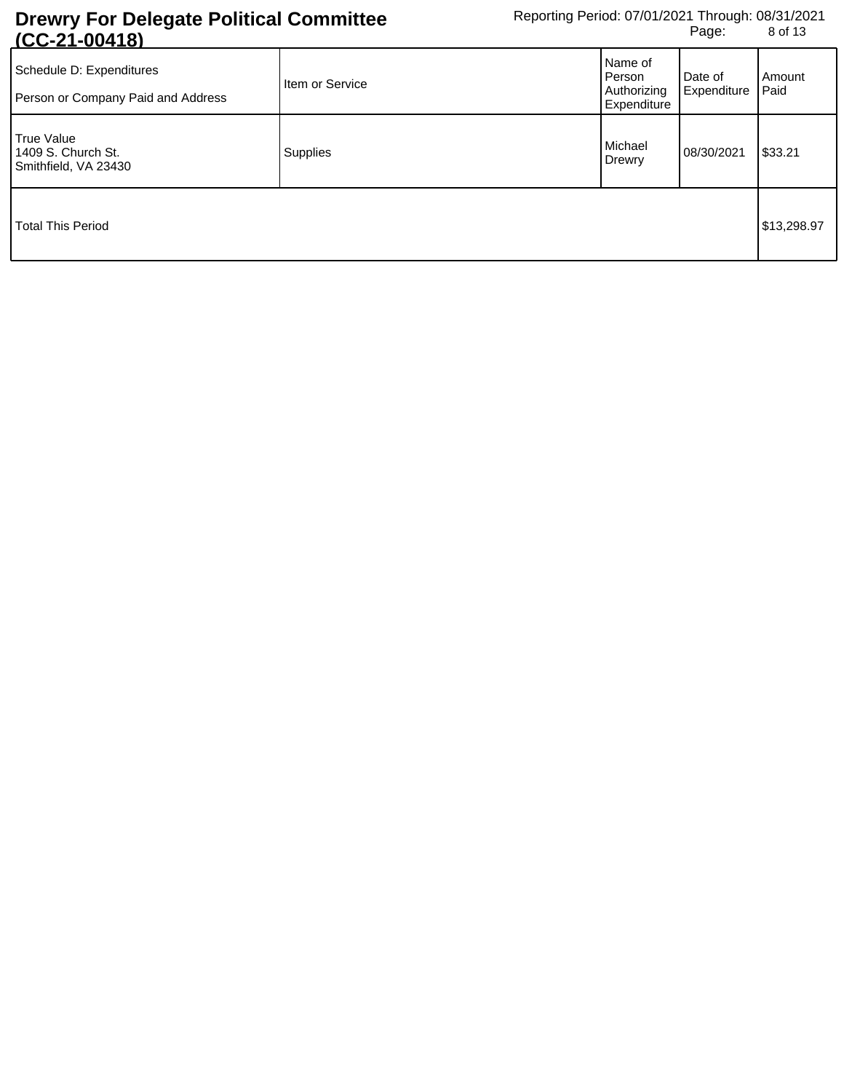| <u> 100 — 100 — 10</u><br>Schedule D: Expenditures<br>Person or Company Paid and Address | Item or Service | Name of<br>Person<br>Authorizing<br>Expenditure | Date of<br>Expenditure | Amount<br>Paid |
|------------------------------------------------------------------------------------------|-----------------|-------------------------------------------------|------------------------|----------------|
| <b>True Value</b><br>1409 S. Church St.<br>Smithfield, VA 23430                          | Supplies        | Michael<br>Drewry                               | 08/30/2021             | \$33.21        |
| <b>Total This Period</b>                                                                 |                 |                                                 |                        | \$13,298.97    |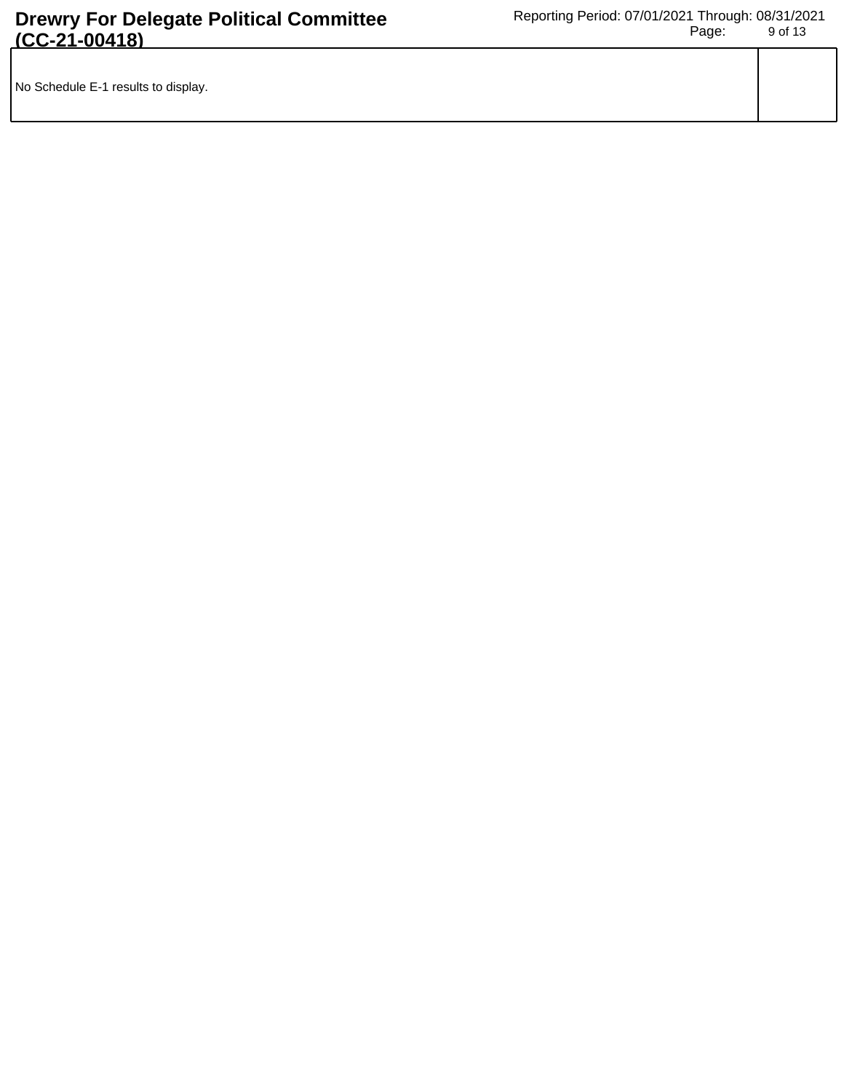|--|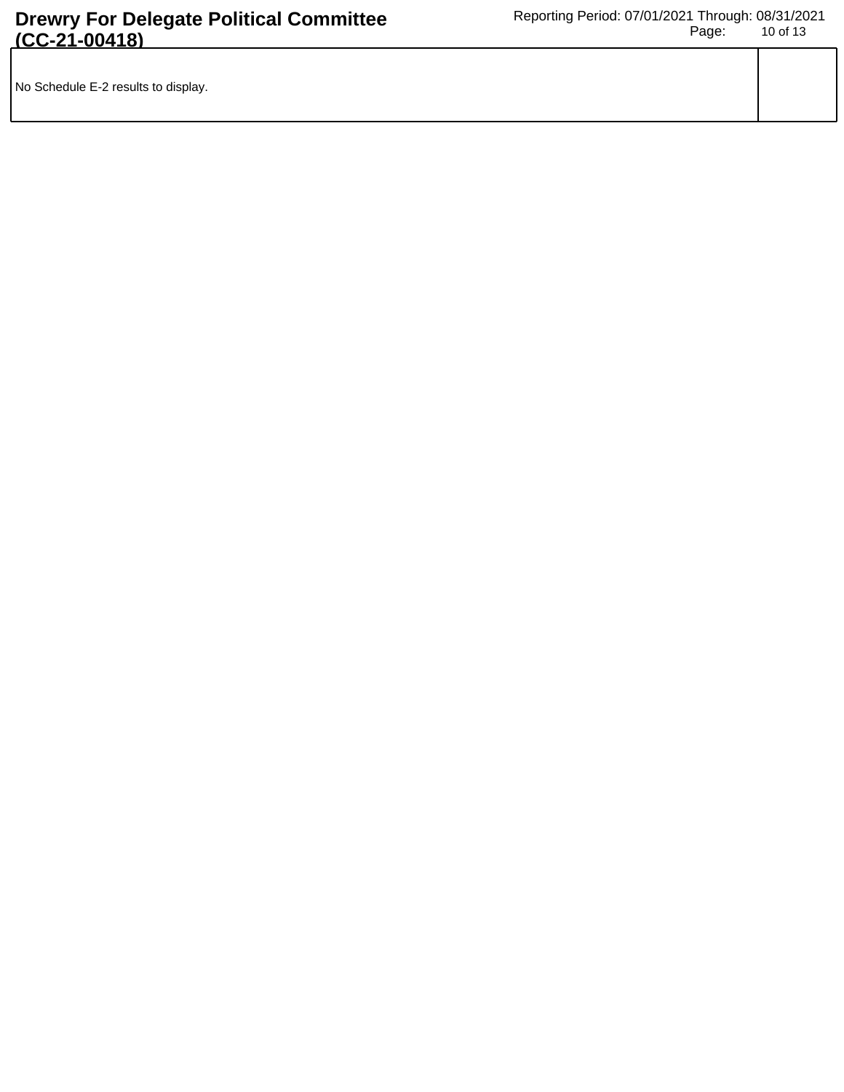| No Schedule E-2 results to display. |  |
|-------------------------------------|--|
|                                     |  |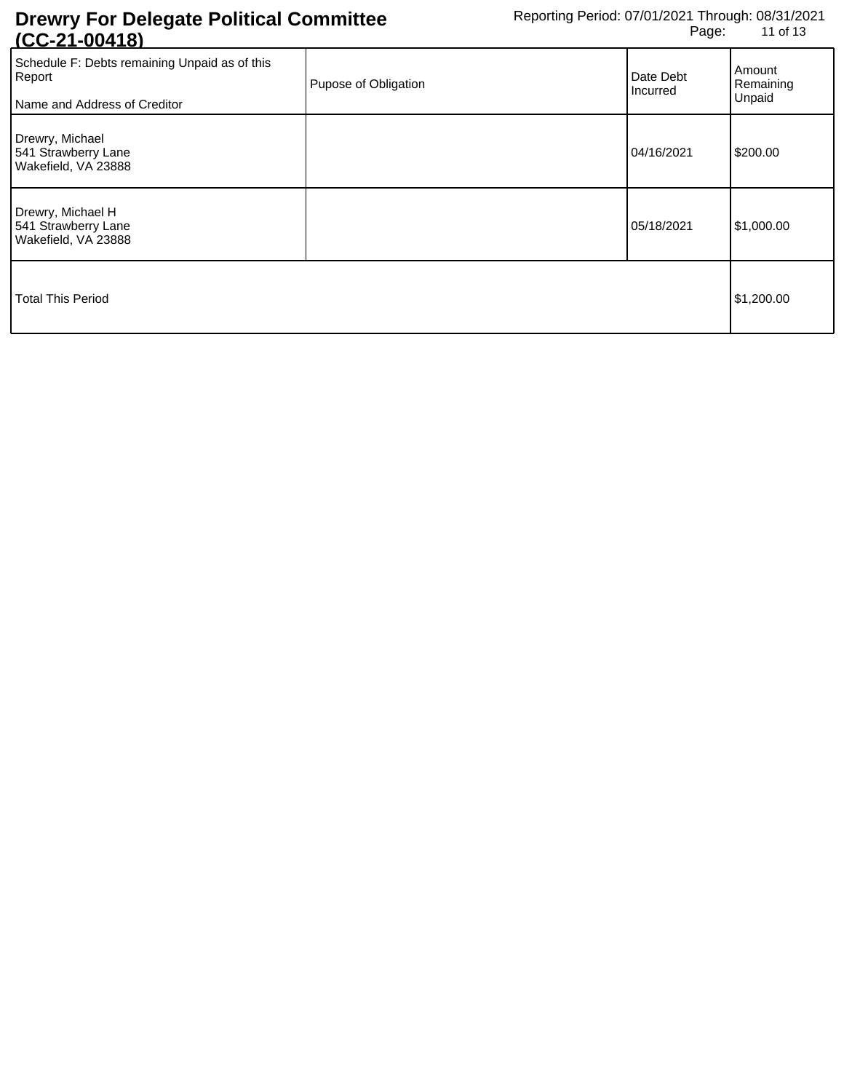| <u> 100-21-004101</u>                                                                   |                      |                       |                               |
|-----------------------------------------------------------------------------------------|----------------------|-----------------------|-------------------------------|
| Schedule F: Debts remaining Unpaid as of this<br>Report<br>Name and Address of Creditor | Pupose of Obligation | Date Debt<br>Incurred | Amount<br>Remaining<br>Unpaid |
| Drewry, Michael<br>541 Strawberry Lane<br>Wakefield, VA 23888                           |                      | 04/16/2021            | \$200.00                      |
| Drewry, Michael H<br>541 Strawberry Lane<br>Wakefield, VA 23888                         |                      | 05/18/2021            | \$1,000.00                    |
| Total This Period                                                                       |                      |                       | \$1,200.00                    |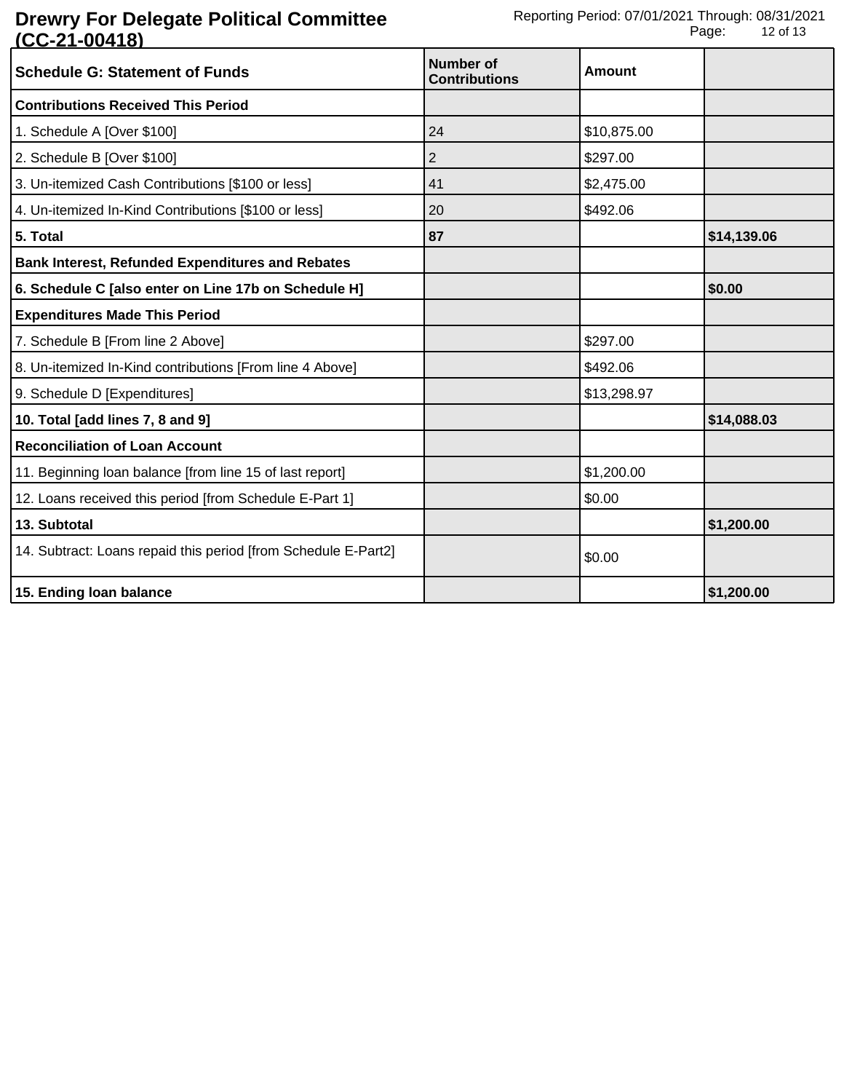| <b>Schedule G: Statement of Funds</b>                          | Number of<br><b>Contributions</b> | Amount      |             |
|----------------------------------------------------------------|-----------------------------------|-------------|-------------|
| <b>Contributions Received This Period</b>                      |                                   |             |             |
| 1. Schedule A [Over \$100]                                     | 24                                | \$10,875.00 |             |
| 2. Schedule B [Over \$100]                                     | 2                                 | \$297.00    |             |
| 3. Un-itemized Cash Contributions [\$100 or less]              | 41                                | \$2,475.00  |             |
| 4. Un-itemized In-Kind Contributions [\$100 or less]           | 20                                | \$492.06    |             |
| 5. Total                                                       | 87                                |             | \$14,139.06 |
| <b>Bank Interest, Refunded Expenditures and Rebates</b>        |                                   |             |             |
| 6. Schedule C [also enter on Line 17b on Schedule H]           |                                   |             | \$0.00      |
| <b>Expenditures Made This Period</b>                           |                                   |             |             |
| 7. Schedule B [From line 2 Above]                              |                                   | \$297.00    |             |
| 8. Un-itemized In-Kind contributions [From line 4 Above]       |                                   | \$492.06    |             |
| 9. Schedule D [Expenditures]                                   |                                   | \$13,298.97 |             |
| 10. Total [add lines 7, 8 and 9]                               |                                   |             | \$14,088.03 |
| <b>Reconciliation of Loan Account</b>                          |                                   |             |             |
| 11. Beginning loan balance [from line 15 of last report]       |                                   | \$1,200.00  |             |
| 12. Loans received this period [from Schedule E-Part 1]        |                                   | \$0.00      |             |
| 13. Subtotal                                                   |                                   |             | \$1,200.00  |
| 14. Subtract: Loans repaid this period [from Schedule E-Part2] |                                   | \$0.00      |             |
| 15. Ending loan balance                                        |                                   |             | \$1,200.00  |